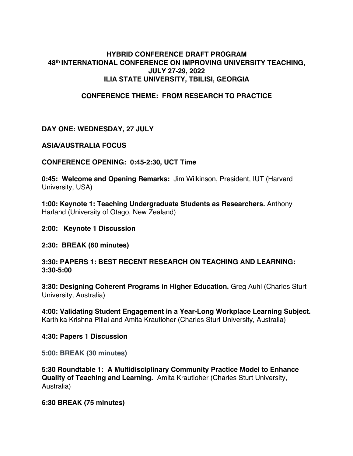### **HYBRID CONFERENCE DRAFT PROGRAM 48th INTERNATIONAL CONFERENCE ON IMPROVING UNIVERSITY TEACHING, JULY 27-29, 2022 ILIA STATE UNIVERSITY, TBILISI, GEORGIA**

### **CONFERENCE THEME: FROM RESEARCH TO PRACTICE**

### **DAY ONE: WEDNESDAY, 27 JULY**

### **ASIA/AUSTRALIA FOCUS**

**CONFERENCE OPENING: 0:45-2:30, UCT Time**

**0:45: Welcome and Opening Remarks:** Jim Wilkinson, President, IUT (Harvard University, USA)

**1:00: Keynote 1: Teaching Undergraduate Students as Researchers.** Anthony Harland (University of Otago, New Zealand)

**2:00: Keynote 1 Discussion**

#### **2:30: BREAK (60 minutes)**

**3:30: PAPERS 1: BEST RECENT RESEARCH ON TEACHING AND LEARNING: 3:30-5:00**

**3:30: Designing Coherent Programs in Higher Education.** Greg Auhl (Charles Sturt University, Australia)

**4:00: Validating Student Engagement in a Year-Long Workplace Learning Subject.**  Karthika Krishna Pillai and Amita Krautloher (Charles Sturt University, Australia)

#### **4:30: Papers 1 Discussion**

**5:00: BREAK (30 minutes)**

**5:30 Roundtable 1: A Multidisciplinary Community Practice Model to Enhance Quality of Teaching and Learning.** Amita Krautloher (Charles Sturt University, Australia)

**6:30 BREAK (75 minutes)**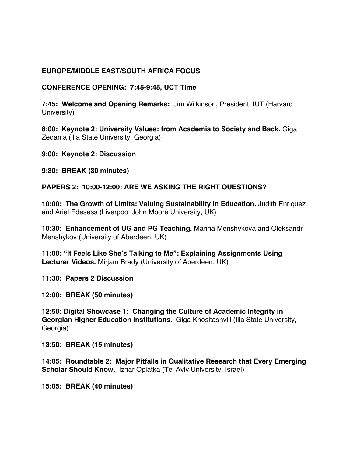# **EUROPE/MIDDLE EAST/SOUTH AFRICA FOCUS**

**CONFERENCE OPENING: 7:45-9:45, UCT TIme**

**7:45: Welcome and Opening Remarks:** Jim Wilkinson, President, IUT (Harvard University)

**8:00: Keynote 2: University Values: from Academia to Society and Back.** Giga Zedania (Ilia State University, Georgia)

**9:00: Keynote 2: Discussion**

**9:30: BREAK (30 minutes)**

**PAPERS 2: 10:00-12:00: ARE WE ASKING THE RIGHT QUESTIONS?**

**10:00: The Growth of Limits: Valuing Sustainability in Education.** Judith Enriquez and Ariel Edesess (Liverpool John Moore University, UK)

**10:30: Enhancement of UG and PG Teaching.** Marina Menshykova and Oleksandr Menshykov (University of Aberdeen, UK)

**11:00: "It Feels Like She's Talking to Me": Explaining Assignments Using Lecturer Videos.** Mirjam Brady (University of Aberdeen, UK)

**11:30: Papers 2 Discussion**

**12:00: BREAK (50 minutes)**

**12:50: Digital Showcase 1: Changing the Culture of Academic Integrity in Georgian Higher Education Institutions.** Giga Khositashvili (Ilia State University, Georgia)

**13:50: BREAK (15 minutes)**

**14:05: Roundtable 2: Major Pitfalls in Qualitative Research that Every Emerging Scholar Should Know.** Izhar Oplatka (Tel Aviv University, Israel)

**15:05: BREAK (40 minutes)**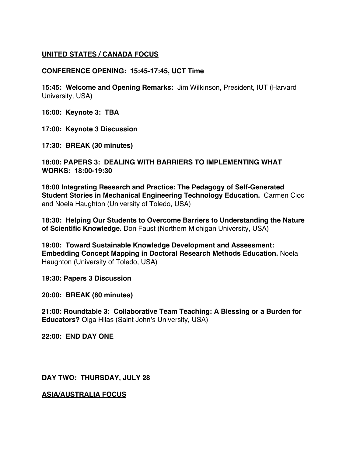# **UNITED STATES / CANADA FOCUS**

### **CONFERENCE OPENING: 15:45-17:45, UCT Time**

**15:45: Welcome and Opening Remarks:** Jim Wilkinson, President, IUT (Harvard University, USA)

**16:00: Keynote 3: TBA**

**17:00: Keynote 3 Discussion**

**17:30: BREAK (30 minutes)**

**18:00: PAPERS 3: DEALING WITH BARRIERS TO IMPLEMENTING WHAT WORKS: 18:00-19:30**

**18:00 Integrating Research and Practice: The Pedagogy of Self-Generated Student Stories in Mechanical Engineering Technology Education.** Carmen Cioc and Noela Haughton (University of Toledo, USA)

**18:30: Helping Our Students to Overcome Barriers to Understanding the Nature of Scientific Knowledge.** Don Faust (Northern Michigan University, USA)

**19:00: Toward Sustainable Knowledge Development and Assessment: Embedding Concept Mapping in Doctoral Research Methods Education.** Noela Haughton (University of Toledo, USA)

**19:30: Papers 3 Discussion**

**20:00: BREAK (60 minutes)**

**21:00: Roundtable 3: Collaborative Team Teaching: A Blessing or a Burden for Educators?** Olga Hilas (Saint John's University, USA)

**22:00: END DAY ONE** 

**DAY TWO: THURSDAY, JULY 28**

**ASIA/AUSTRALIA FOCUS**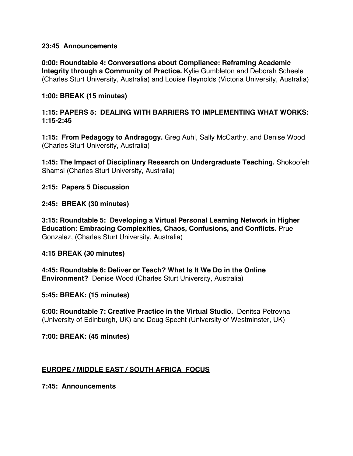### **23:45 Announcements**

**0:00: Roundtable 4: Conversations about Compliance: Reframing Academic Integrity through a Community of Practice.** Kylie Gumbleton and Deborah Scheele (Charles Sturt University, Australia) and Louise Reynolds (Victoria University, Australia)

### **1:00: BREAK (15 minutes)**

### **1:15: PAPERS 5: DEALING WITH BARRIERS TO IMPLEMENTING WHAT WORKS: 1:15-2:45**

**1:15: From Pedagogy to Andragogy.** Greg Auhl, Sally McCarthy, and Denise Wood (Charles Sturt University, Australia)

**1:45: The Impact of Disciplinary Research on Undergraduate Teaching.** Shokoofeh Shamsi (Charles Sturt University, Australia)

### **2:15: Papers 5 Discussion**

### **2:45: BREAK (30 minutes)**

**3:15: Roundtable 5: Developing a Virtual Personal Learning Network in Higher Education: Embracing Complexities, Chaos, Confusions, and Conflicts.** Prue Gonzalez, (Charles Sturt University, Australia)

### **4:15 BREAK (30 minutes)**

**4:45: Roundtable 6: Deliver or Teach? What Is It We Do in the Online Environment?** Denise Wood (Charles Sturt University, Australia)

### **5:45: BREAK: (15 minutes)**

**6:00: Roundtable 7: Creative Practice in the Virtual Studio.** Denitsa Petrovna (University of Edinburgh, UK) and Doug Specht (University of Westminster, UK)

**7:00: BREAK: (45 minutes)**

### **EUROPE / MIDDLE EAST / SOUTH AFRICA FOCUS**

**7:45: Announcements**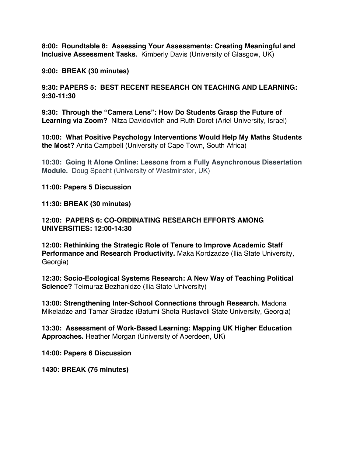**8:00: Roundtable 8: Assessing Your Assessments: Creating Meaningful and Inclusive Assessment Tasks.** Kimberly Davis (University of Glasgow, UK)

**9:00: BREAK (30 minutes)**

**9:30: PAPERS 5: BEST RECENT RESEARCH ON TEACHING AND LEARNING: 9:30-11:30**

**9:30: Through the "Camera Lens": How Do Students Grasp the Future of Learning via Zoom?** Nitza Davidovitch and Ruth Dorot (Ariel University, Israel)

**10:00: What Positive Psychology Interventions Would Help My Maths Students the Most?** Anita Campbell (University of Cape Town, South Africa)

**10:30: Going It Alone Online: Lessons from a Fully Asynchronous Dissertation Module.** Doug Specht (University of Westminster, UK)

**11:00: Papers 5 Discussion** 

**11:30: BREAK (30 minutes)**

**12:00: PAPERS 6: CO-ORDINATING RESEARCH EFFORTS AMONG UNIVERSITIES: 12:00-14:30**

**12:00: Rethinking the Strategic Role of Tenure to Improve Academic Staff Performance and Research Productivity.** Maka Kordzadze (Ilia State University, Georgia)

**12:30: Socio-Ecological Systems Research: A New Way of Teaching Political Science?** Teimuraz Bezhanidze (Ilia State University)

**13:00: Strengthening Inter-School Connections through Research.** Madona Mikeladze and Tamar Siradze (Batumi Shota Rustaveli State University, Georgia)

**13:30: Assessment of Work-Based Learning: Mapping UK Higher Education Approaches.** Heather Morgan (University of Aberdeen, UK)

**14:00: Papers 6 Discussion**

**1430: BREAK (75 minutes)**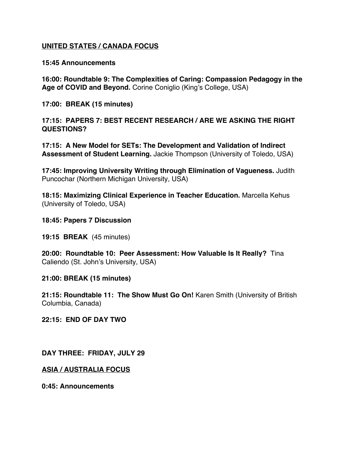### **UNITED STATES / CANADA FOCUS**

#### **15:45 Announcements**

**16:00: Roundtable 9: The Complexities of Caring: Compassion Pedagogy in the Age of COVID and Beyond.** Corine Coniglio (King's College, USA)

**17:00: BREAK (15 minutes)**

**17:15: PAPERS 7: BEST RECENT RESEARCH / ARE WE ASKING THE RIGHT QUESTIONS?**

**17:15: A New Model for SETs: The Development and Validation of Indirect Assessment of Student Learning.** Jackie Thompson (University of Toledo, USA)

**17:45: Improving University Writing through Elimination of Vagueness.** Judith Puncochar (Northern Michigan University, USA)

**18:15: Maximizing Clinical Experience in Teacher Education.** Marcella Kehus (University of Toledo, USA)

**18:45: Papers 7 Discussion**

**19:15 BREAK** (45 minutes)

**20:00: Roundtable 10: Peer Assessment: How Valuable Is It Really?** Tina Caliendo (St. John's University, USA)

**21:00: BREAK (15 minutes)**

**21:15: Roundtable 11: The Show Must Go On!** Karen Smith (University of British Columbia, Canada)

**22:15: END OF DAY TWO**

**DAY THREE: FRIDAY, JULY 29**

**ASIA / AUSTRALIA FOCUS**

**0:45: Announcements**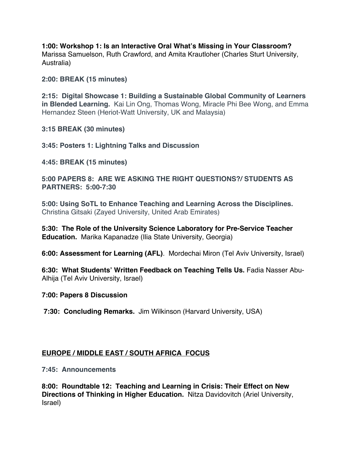**1:00: Workshop 1: Is an Interactive Oral What's Missing in Your Classroom?**  Marissa Samuelson, Ruth Crawford, and Amita Krautloher (Charles Sturt University, Australia)

**2:00: BREAK (15 minutes)**

**2:15: Digital Showcase 1: Building a Sustainable Global Community of Learners in Blended Learning.** Kai Lin Ong, Thomas Wong, Miracle Phi Bee Wong, and Emma Hernandez Steen (Heriot-Watt University, UK and Malaysia)

**3:15 BREAK (30 minutes)**

**3:45: Posters 1: Lightning Talks and Discussion**

**4:45: BREAK (15 minutes)**

**5:00 PAPERS 8: ARE WE ASKING THE RIGHT QUESTIONS?/ STUDENTS AS PARTNERS: 5:00-7:30**

**5:00: Using SoTL to Enhance Teaching and Learning Across the Disciplines.** Christina Gitsaki (Zayed University, United Arab Emirates)

**5:30: The Role of the University Science Laboratory for Pre-Service Teacher Education.** Marika Kapanadze (Ilia State University, Georgia)

**6:00: Assessment for Learning (AFL)**. Mordechai Miron (Tel Aviv University, Israel)

**6:30: What Students' Written Feedback on Teaching Tells Us.** Fadia Nasser Abu-Alhija (Tel Aviv University, Israel)

### **7:00: Papers 8 Discussion**

**7:30: Concluding Remarks.** Jim Wilkinson (Harvard University, USA)

# **EUROPE / MIDDLE EAST / SOUTH AFRICA FOCUS**

**7:45: Announcements**

**8:00: Roundtable 12: Teaching and Learning in Crisis: Their Effect on New Directions of Thinking in Higher Education.** Nitza Davidovitch (Ariel University, Israel)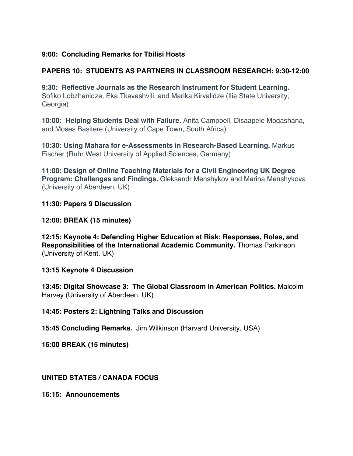# **9:00: Concluding Remarks for Tbilisi Hosts**

# **PAPERS 10: STUDENTS AS PARTNERS IN CLASSROOM RESEARCH: 9:30-12:00**

**9:30: Reflective Journals as the Research Instrument for Student Learning.**  Sofiko Lobzhanidze, Eka Tkavashvili, and Marika Kirvalidze (Ilia State University, Georgia)

**10:00: Helping Students Deal with Failure.** Anita Campbell, Disaapele Mogashana, and Moses Basitere (University of Cape Town, South Africa)

**10:30: Using Mahara for e-Assessments in Research-Based Learning.** Markus Fischer (Ruhr West University of Applied Sciences, Germany)

**11:00: Design of Online Teaching Materials for a Civil Engineering UK Degree Program: Challenges and Findings.** Oleksandr Menshykov and Marina Menshykova (University of Aberdeen, UK)

### **11:30: Papers 9 Discussion**

# **12:00: BREAK (15 minutes)**

**12:15: Keynote 4: Defending Higher Education at Risk: Responses, Roles, and Responsibilities of the International Academic Community.** Thomas Parkinson (University of Kent, UK)

# **13:15 Keynote 4 Discussion**

**13:45: Digital Showcase 3: The Global Classroom in American Politics.** Malcolm Harvey (University of Aberdeen, UK)

# **14:45: Posters 2: Lightning Talks and Discussion**

**15:45 Concluding Remarks.** Jim Wilkinson (Harvard University, USA)

**16:00 BREAK (15 minutes)**

# **UNITED STATES / CANADA FOCUS**

**16:15: Announcements**